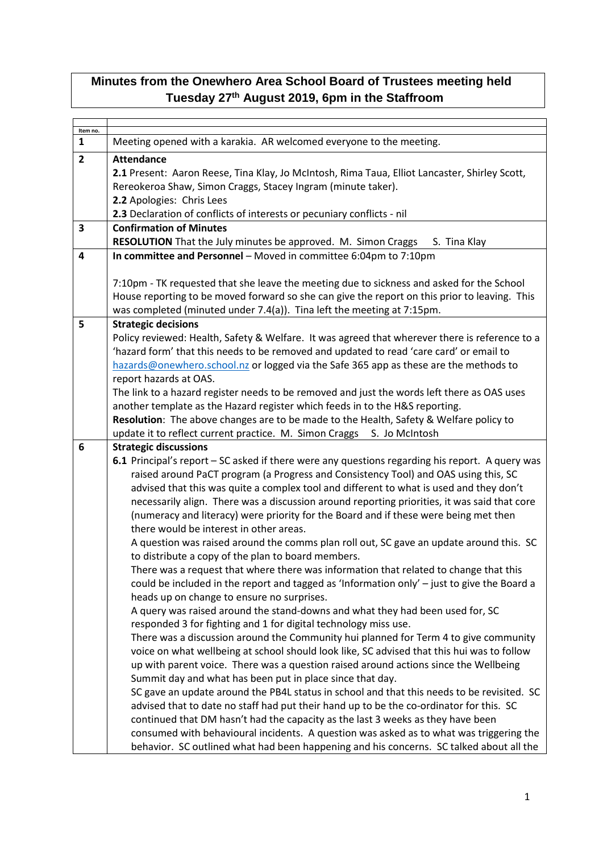## **Minutes from the Onewhero Area School Board of Trustees meeting held Tuesday 27th August 2019, 6pm in the Staffroom**

| Item no.<br>1 | Meeting opened with a karakia. AR welcomed everyone to the meeting.                                                                                                                                                                                                                                                                                                                                                                                                                                                                                                                                                                                                                                                                                                                                                                                                                                                                                                                                                                                                                                                                                                                                                                                                                                                                                                                                                                                                                                                                                                                                                                 |  |  |  |
|---------------|-------------------------------------------------------------------------------------------------------------------------------------------------------------------------------------------------------------------------------------------------------------------------------------------------------------------------------------------------------------------------------------------------------------------------------------------------------------------------------------------------------------------------------------------------------------------------------------------------------------------------------------------------------------------------------------------------------------------------------------------------------------------------------------------------------------------------------------------------------------------------------------------------------------------------------------------------------------------------------------------------------------------------------------------------------------------------------------------------------------------------------------------------------------------------------------------------------------------------------------------------------------------------------------------------------------------------------------------------------------------------------------------------------------------------------------------------------------------------------------------------------------------------------------------------------------------------------------------------------------------------------------|--|--|--|
| $\mathbf{2}$  | <b>Attendance</b><br>2.1 Present: Aaron Reese, Tina Klay, Jo McIntosh, Rima Taua, Elliot Lancaster, Shirley Scott,<br>Rereokeroa Shaw, Simon Craggs, Stacey Ingram (minute taker).<br>2.2 Apologies: Chris Lees                                                                                                                                                                                                                                                                                                                                                                                                                                                                                                                                                                                                                                                                                                                                                                                                                                                                                                                                                                                                                                                                                                                                                                                                                                                                                                                                                                                                                     |  |  |  |
|               | 2.3 Declaration of conflicts of interests or pecuniary conflicts - nil                                                                                                                                                                                                                                                                                                                                                                                                                                                                                                                                                                                                                                                                                                                                                                                                                                                                                                                                                                                                                                                                                                                                                                                                                                                                                                                                                                                                                                                                                                                                                              |  |  |  |
| 3             | <b>Confirmation of Minutes</b><br>RESOLUTION That the July minutes be approved. M. Simon Craggs<br>S. Tina Klay                                                                                                                                                                                                                                                                                                                                                                                                                                                                                                                                                                                                                                                                                                                                                                                                                                                                                                                                                                                                                                                                                                                                                                                                                                                                                                                                                                                                                                                                                                                     |  |  |  |
| 4             | In committee and Personnel - Moved in committee 6:04pm to 7:10pm                                                                                                                                                                                                                                                                                                                                                                                                                                                                                                                                                                                                                                                                                                                                                                                                                                                                                                                                                                                                                                                                                                                                                                                                                                                                                                                                                                                                                                                                                                                                                                    |  |  |  |
|               | 7:10pm - TK requested that she leave the meeting due to sickness and asked for the School<br>House reporting to be moved forward so she can give the report on this prior to leaving. This                                                                                                                                                                                                                                                                                                                                                                                                                                                                                                                                                                                                                                                                                                                                                                                                                                                                                                                                                                                                                                                                                                                                                                                                                                                                                                                                                                                                                                          |  |  |  |
|               | was completed (minuted under 7.4(a)). Tina left the meeting at 7:15pm.                                                                                                                                                                                                                                                                                                                                                                                                                                                                                                                                                                                                                                                                                                                                                                                                                                                                                                                                                                                                                                                                                                                                                                                                                                                                                                                                                                                                                                                                                                                                                              |  |  |  |
| 5             | <b>Strategic decisions</b><br>Policy reviewed: Health, Safety & Welfare. It was agreed that wherever there is reference to a<br>'hazard form' that this needs to be removed and updated to read 'care card' or email to<br>hazards@onewhero.school.nz or logged via the Safe 365 app as these are the methods to<br>report hazards at OAS.<br>The link to a hazard register needs to be removed and just the words left there as OAS uses                                                                                                                                                                                                                                                                                                                                                                                                                                                                                                                                                                                                                                                                                                                                                                                                                                                                                                                                                                                                                                                                                                                                                                                           |  |  |  |
|               | another template as the Hazard register which feeds in to the H&S reporting.<br>Resolution: The above changes are to be made to the Health, Safety & Welfare policy to<br>update it to reflect current practice. M. Simon Craggs S. Jo McIntosh                                                                                                                                                                                                                                                                                                                                                                                                                                                                                                                                                                                                                                                                                                                                                                                                                                                                                                                                                                                                                                                                                                                                                                                                                                                                                                                                                                                     |  |  |  |
| 6             | <b>Strategic discussions</b><br>6.1 Principal's report - SC asked if there were any questions regarding his report. A query was<br>raised around PaCT program (a Progress and Consistency Tool) and OAS using this, SC<br>advised that this was quite a complex tool and different to what is used and they don't<br>necessarily align. There was a discussion around reporting priorities, it was said that core<br>(numeracy and literacy) were priority for the Board and if these were being met then<br>there would be interest in other areas.<br>A question was raised around the comms plan roll out, SC gave an update around this. SC<br>to distribute a copy of the plan to board members.<br>There was a request that where there was information that related to change that this<br>could be included in the report and tagged as 'Information only' - just to give the Board a<br>heads up on change to ensure no surprises.<br>A query was raised around the stand-downs and what they had been used for, SC<br>responded 3 for fighting and 1 for digital technology miss use.<br>There was a discussion around the Community hui planned for Term 4 to give community<br>voice on what wellbeing at school should look like, SC advised that this hui was to follow<br>up with parent voice. There was a question raised around actions since the Wellbeing<br>Summit day and what has been put in place since that day.<br>SC gave an update around the PB4L status in school and that this needs to be revisited. SC<br>advised that to date no staff had put their hand up to be the co-ordinator for this. SC |  |  |  |
|               | continued that DM hasn't had the capacity as the last 3 weeks as they have been<br>consumed with behavioural incidents. A question was asked as to what was triggering the<br>behavior. SC outlined what had been happening and his concerns. SC talked about all the                                                                                                                                                                                                                                                                                                                                                                                                                                                                                                                                                                                                                                                                                                                                                                                                                                                                                                                                                                                                                                                                                                                                                                                                                                                                                                                                                               |  |  |  |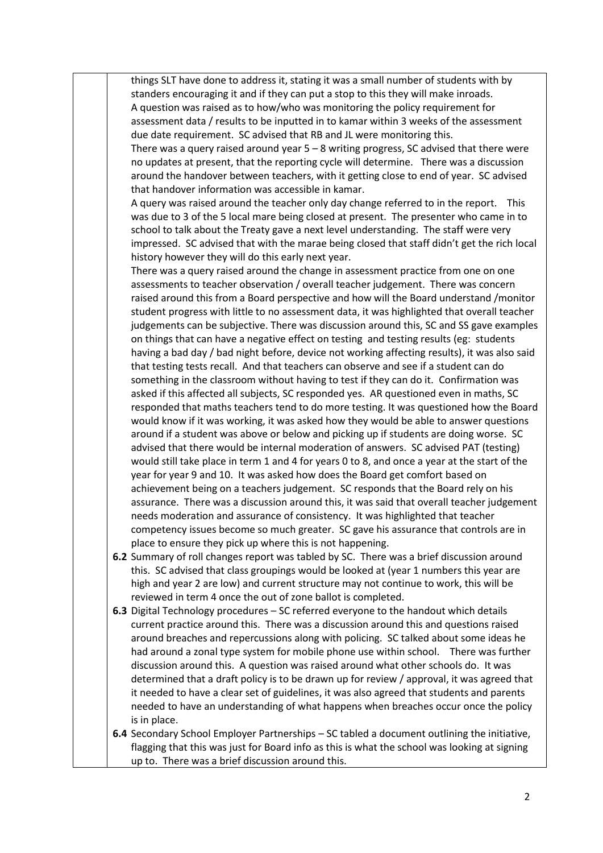things SLT have done to address it, stating it was a small number of students with by standers encouraging it and if they can put a stop to this they will make inroads. A question was raised as to how/who was monitoring the policy requirement for assessment data / results to be inputted in to kamar within 3 weeks of the assessment due date requirement. SC advised that RB and JL were monitoring this.

There was a query raised around year  $5 - 8$  writing progress, SC advised that there were no updates at present, that the reporting cycle will determine. There was a discussion around the handover between teachers, with it getting close to end of year. SC advised that handover information was accessible in kamar.

A query was raised around the teacher only day change referred to in the report. This was due to 3 of the 5 local mare being closed at present. The presenter who came in to school to talk about the Treaty gave a next level understanding. The staff were very impressed. SC advised that with the marae being closed that staff didn't get the rich local history however they will do this early next year.

There was a query raised around the change in assessment practice from one on one assessments to teacher observation / overall teacher judgement. There was concern raised around this from a Board perspective and how will the Board understand /monitor student progress with little to no assessment data, it was highlighted that overall teacher judgements can be subjective. There was discussion around this, SC and SS gave examples on things that can have a negative effect on testing and testing results (eg: students having a bad day / bad night before, device not working affecting results), it was also said that testing tests recall. And that teachers can observe and see if a student can do something in the classroom without having to test if they can do it. Confirmation was asked if this affected all subjects, SC responded yes. AR questioned even in maths, SC responded that maths teachers tend to do more testing. It was questioned how the Board would know if it was working, it was asked how they would be able to answer questions around if a student was above or below and picking up if students are doing worse. SC advised that there would be internal moderation of answers. SC advised PAT (testing) would still take place in term 1 and 4 for years 0 to 8, and once a year at the start of the year for year 9 and 10. It was asked how does the Board get comfort based on achievement being on a teachers judgement. SC responds that the Board rely on his assurance. There was a discussion around this, it was said that overall teacher judgement needs moderation and assurance of consistency. It was highlighted that teacher competency issues become so much greater. SC gave his assurance that controls are in place to ensure they pick up where this is not happening.

- **6.2** Summary of roll changes report was tabled by SC. There was a brief discussion around this. SC advised that class groupings would be looked at (year 1 numbers this year are high and year 2 are low) and current structure may not continue to work, this will be reviewed in term 4 once the out of zone ballot is completed.
- **6.3** Digital Technology procedures SC referred everyone to the handout which details current practice around this. There was a discussion around this and questions raised around breaches and repercussions along with policing. SC talked about some ideas he had around a zonal type system for mobile phone use within school. There was further discussion around this. A question was raised around what other schools do. It was determined that a draft policy is to be drawn up for review / approval, it was agreed that it needed to have a clear set of guidelines, it was also agreed that students and parents needed to have an understanding of what happens when breaches occur once the policy is in place.
- **6.4** Secondary School Employer Partnerships SC tabled a document outlining the initiative, flagging that this was just for Board info as this is what the school was looking at signing up to. There was a brief discussion around this.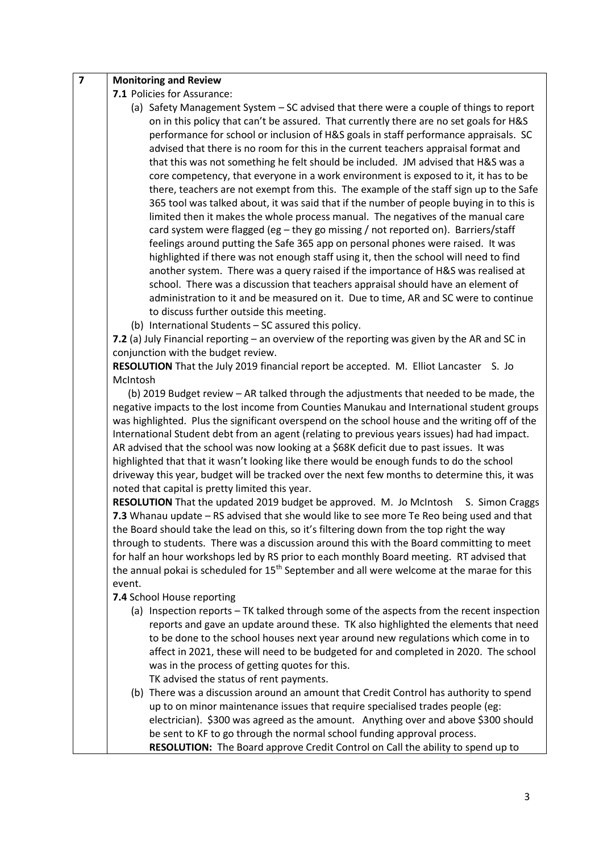**7.1** Policies for Assurance:

- (a) Safety Management System SC advised that there were a couple of things to report on in this policy that can't be assured. That currently there are no set goals for H&S performance for school or inclusion of H&S goals in staff performance appraisals. SC advised that there is no room for this in the current teachers appraisal format and that this was not something he felt should be included. JM advised that H&S was a core competency, that everyone in a work environment is exposed to it, it has to be there, teachers are not exempt from this. The example of the staff sign up to the Safe 365 tool was talked about, it was said that if the number of people buying in to this is limited then it makes the whole process manual. The negatives of the manual care card system were flagged (eg – they go missing / not reported on). Barriers/staff feelings around putting the Safe 365 app on personal phones were raised. It was highlighted if there was not enough staff using it, then the school will need to find another system. There was a query raised if the importance of H&S was realised at school. There was a discussion that teachers appraisal should have an element of administration to it and be measured on it. Due to time, AR and SC were to continue to discuss further outside this meeting.
- (b) International Students SC assured this policy.

**7.2** (a) July Financial reporting – an overview of the reporting was given by the AR and SC in conjunction with the budget review.

**RESOLUTION** That the July 2019 financial report be accepted. M. Elliot Lancaster S. Jo McIntosh

 (b) 2019 Budget review – AR talked through the adjustments that needed to be made, the negative impacts to the lost income from Counties Manukau and International student groups was highlighted. Plus the significant overspend on the school house and the writing off of the International Student debt from an agent (relating to previous years issues) had had impact. AR advised that the school was now looking at a \$68K deficit due to past issues. It was highlighted that that it wasn't looking like there would be enough funds to do the school driveway this year, budget will be tracked over the next few months to determine this, it was noted that capital is pretty limited this year.

**RESOLUTION** That the updated 2019 budget be approved. M. Jo McIntosh S. Simon Craggs **7.3** Whanau update – RS advised that she would like to see more Te Reo being used and that the Board should take the lead on this, so it's filtering down from the top right the way through to students. There was a discussion around this with the Board committing to meet for half an hour workshops led by RS prior to each monthly Board meeting. RT advised that the annual pokai is scheduled for  $15<sup>th</sup>$  September and all were welcome at the marae for this event.

**7.4** School House reporting

(a) Inspection reports – TK talked through some of the aspects from the recent inspection reports and gave an update around these. TK also highlighted the elements that need to be done to the school houses next year around new regulations which come in to affect in 2021, these will need to be budgeted for and completed in 2020. The school was in the process of getting quotes for this.

TK advised the status of rent payments.

(b) There was a discussion around an amount that Credit Control has authority to spend up to on minor maintenance issues that require specialised trades people (eg: electrician). \$300 was agreed as the amount. Anything over and above \$300 should be sent to KF to go through the normal school funding approval process. **RESOLUTION:** The Board approve Credit Control on Call the ability to spend up to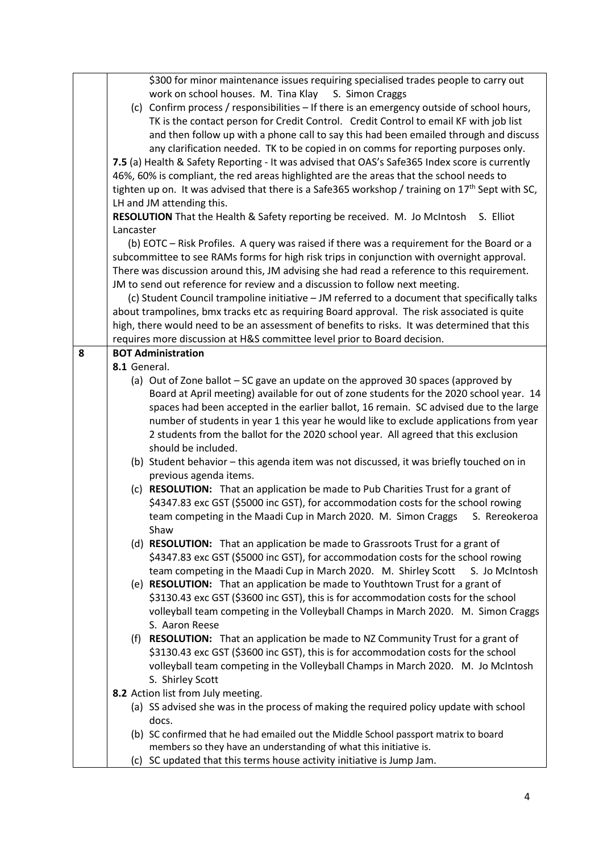|   | \$300 for minor maintenance issues requiring specialised trades people to carry out               |  |  |
|---|---------------------------------------------------------------------------------------------------|--|--|
|   | work on school houses. M. Tina Klay S. Simon Craggs                                               |  |  |
|   | (c) Confirm process / responsibilities - If there is an emergency outside of school hours,        |  |  |
|   | TK is the contact person for Credit Control. Credit Control to email KF with job list             |  |  |
|   | and then follow up with a phone call to say this had been emailed through and discuss             |  |  |
|   | any clarification needed. TK to be copied in on comms for reporting purposes only.                |  |  |
|   | 7.5 (a) Health & Safety Reporting - It was advised that OAS's Safe365 Index score is currently    |  |  |
|   | 46%, 60% is compliant, the red areas highlighted are the areas that the school needs to           |  |  |
|   | tighten up on. It was advised that there is a Safe365 workshop / training on $17th$ Sept with SC, |  |  |
|   | LH and JM attending this.                                                                         |  |  |
|   | RESOLUTION That the Health & Safety reporting be received. M. Jo McIntosh<br>S. Elliot            |  |  |
|   | Lancaster                                                                                         |  |  |
|   | (b) EOTC - Risk Profiles. A query was raised if there was a requirement for the Board or a        |  |  |
|   | subcommittee to see RAMs forms for high risk trips in conjunction with overnight approval.        |  |  |
|   | There was discussion around this, JM advising she had read a reference to this requirement.       |  |  |
|   | JM to send out reference for review and a discussion to follow next meeting.                      |  |  |
|   | (c) Student Council trampoline initiative - JM referred to a document that specifically talks     |  |  |
|   | about trampolines, bmx tracks etc as requiring Board approval. The risk associated is quite       |  |  |
|   | high, there would need to be an assessment of benefits to risks. It was determined that this      |  |  |
|   | requires more discussion at H&S committee level prior to Board decision.                          |  |  |
| 8 | <b>BOT Administration</b>                                                                         |  |  |
|   | 8.1 General.                                                                                      |  |  |
|   | (a) Out of Zone ballot - SC gave an update on the approved 30 spaces (approved by                 |  |  |
|   | Board at April meeting) available for out of zone students for the 2020 school year. 14           |  |  |
|   | spaces had been accepted in the earlier ballot, 16 remain. SC advised due to the large            |  |  |
|   | number of students in year 1 this year he would like to exclude applications from year            |  |  |
|   | 2 students from the ballot for the 2020 school year. All agreed that this exclusion               |  |  |
|   | should be included.                                                                               |  |  |
|   | (b) Student behavior - this agenda item was not discussed, it was briefly touched on in           |  |  |
|   | previous agenda items.                                                                            |  |  |
|   | (c) RESOLUTION: That an application be made to Pub Charities Trust for a grant of                 |  |  |
|   | \$4347.83 exc GST (\$5000 inc GST), for accommodation costs for the school rowing                 |  |  |
|   | team competing in the Maadi Cup in March 2020. M. Simon Craggs                                    |  |  |
|   | S. Rereokeroa                                                                                     |  |  |
|   | Shaw                                                                                              |  |  |
|   | (d) RESOLUTION: That an application be made to Grassroots Trust for a grant of                    |  |  |
|   | \$4347.83 exc GST (\$5000 inc GST), for accommodation costs for the school rowing                 |  |  |
|   | team competing in the Maadi Cup in March 2020. M. Shirley Scott<br>S. Jo McIntosh                 |  |  |
|   | (e) RESOLUTION: That an application be made to Youthtown Trust for a grant of                     |  |  |
|   | \$3130.43 exc GST (\$3600 inc GST), this is for accommodation costs for the school                |  |  |
|   | volleyball team competing in the Volleyball Champs in March 2020. M. Simon Craggs                 |  |  |
|   | S. Aaron Reese                                                                                    |  |  |
|   | (f) RESOLUTION: That an application be made to NZ Community Trust for a grant of                  |  |  |
|   | \$3130.43 exc GST (\$3600 inc GST), this is for accommodation costs for the school                |  |  |
|   | volleyball team competing in the Volleyball Champs in March 2020. M. Jo McIntosh                  |  |  |
|   | S. Shirley Scott                                                                                  |  |  |
|   | 8.2 Action list from July meeting.                                                                |  |  |
|   | (a) SS advised she was in the process of making the required policy update with school            |  |  |
|   | docs.                                                                                             |  |  |
|   | (b) SC confirmed that he had emailed out the Middle School passport matrix to board               |  |  |
|   | members so they have an understanding of what this initiative is.                                 |  |  |
|   | (c) SC updated that this terms house activity initiative is Jump Jam.                             |  |  |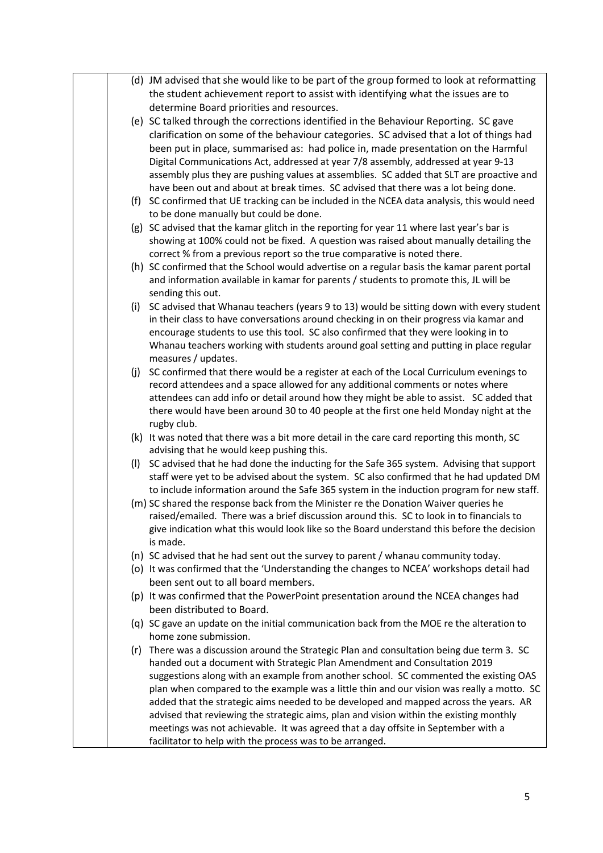|     | (d) JM advised that she would like to be part of the group formed to look at reformatting    |
|-----|----------------------------------------------------------------------------------------------|
|     | the student achievement report to assist with identifying what the issues are to             |
|     | determine Board priorities and resources.                                                    |
|     | (e) SC talked through the corrections identified in the Behaviour Reporting. SC gave         |
|     | clarification on some of the behaviour categories. SC advised that a lot of things had       |
|     | been put in place, summarised as: had police in, made presentation on the Harmful            |
|     | Digital Communications Act, addressed at year 7/8 assembly, addressed at year 9-13           |
|     | assembly plus they are pushing values at assemblies. SC added that SLT are proactive and     |
|     | have been out and about at break times. SC advised that there was a lot being done.          |
|     | (f) SC confirmed that UE tracking can be included in the NCEA data analysis, this would need |
|     | to be done manually but could be done.                                                       |
|     | (g) SC advised that the kamar glitch in the reporting for year 11 where last year's bar is   |
|     | showing at 100% could not be fixed. A question was raised about manually detailing the       |
|     | correct % from a previous report so the true comparative is noted there.                     |
|     | (h) SC confirmed that the School would advertise on a regular basis the kamar parent portal  |
|     | and information available in kamar for parents / students to promote this, JL will be        |
|     | sending this out.                                                                            |
|     | (i) SC advised that Whanau teachers (years 9 to 13) would be sitting down with every student |
|     | in their class to have conversations around checking in on their progress via kamar and      |
|     | encourage students to use this tool. SC also confirmed that they were looking in to          |
|     | Whanau teachers working with students around goal setting and putting in place regular       |
|     | measures / updates.                                                                          |
|     | (j) SC confirmed that there would be a register at each of the Local Curriculum evenings to  |
|     | record attendees and a space allowed for any additional comments or notes where              |
|     | attendees can add info or detail around how they might be able to assist. SC added that      |
|     | there would have been around 30 to 40 people at the first one held Monday night at the       |
|     | rugby club.                                                                                  |
|     | (k) It was noted that there was a bit more detail in the care card reporting this month, SC  |
|     | advising that he would keep pushing this.                                                    |
|     | (I) SC advised that he had done the inducting for the Safe 365 system. Advising that support |
|     | staff were yet to be advised about the system. SC also confirmed that he had updated DM      |
|     | to include information around the Safe 365 system in the induction program for new staff.    |
|     | (m) SC shared the response back from the Minister re the Donation Waiver queries he          |
|     | raised/emailed. There was a brief discussion around this. SC to look in to financials to     |
|     | give indication what this would look like so the Board understand this before the decision   |
|     | is made.                                                                                     |
|     | (n) SC advised that he had sent out the survey to parent / whanau community today.           |
|     | (o) It was confirmed that the 'Understanding the changes to NCEA' workshops detail had       |
|     | been sent out to all board members.                                                          |
|     | (p) It was confirmed that the PowerPoint presentation around the NCEA changes had            |
|     | been distributed to Board.                                                                   |
|     | (q) SC gave an update on the initial communication back from the MOE re the alteration to    |
|     | home zone submission.                                                                        |
| (r) | There was a discussion around the Strategic Plan and consultation being due term 3. SC       |
|     | handed out a document with Strategic Plan Amendment and Consultation 2019                    |
|     | suggestions along with an example from another school. SC commented the existing OAS         |
|     | plan when compared to the example was a little thin and our vision was really a motto. SC    |
|     | added that the strategic aims needed to be developed and mapped across the years. AR         |
|     | advised that reviewing the strategic aims, plan and vision within the existing monthly       |
|     | meetings was not achievable. It was agreed that a day offsite in September with a            |
|     | facilitator to help with the process was to be arranged.                                     |